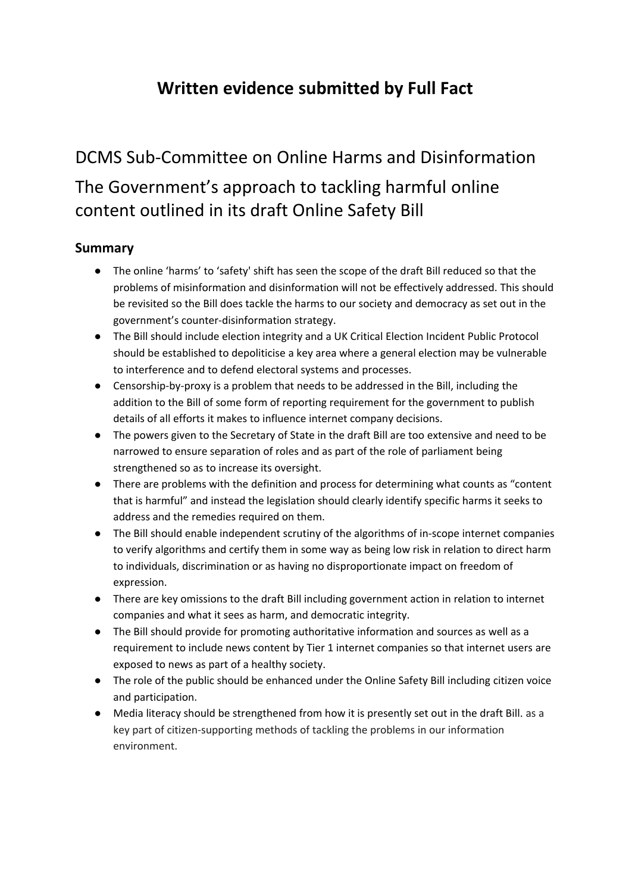## **Written evidence submitted by Full Fact**

# DCMS Sub-Committee on Online Harms and Disinformation The Government's approach to tackling harmful online content outlined in its draft Online Safety Bill

#### **Summary**

- The online 'harms' to 'safety' shift has seen the scope of the draft Bill reduced so that the problems of misinformation and disinformation will not be effectively addressed. This should be revisited so the Bill does tackle the harms to our society and democracy as set out in the government's counter-disinformation strategy.
- The Bill should include election integrity and a UK Critical Election Incident Public Protocol should be established to depoliticise a key area where a general election may be vulnerable to interference and to defend electoral systems and processes.
- Censorship-by-proxy is a problem that needs to be addressed in the Bill, including the addition to the Bill of some form of reporting requirement for the government to publish details of all efforts it makes to influence internet company decisions.
- The powers given to the Secretary of State in the draft Bill are too extensive and need to be narrowed to ensure separation of roles and as part of the role of parliament being strengthened so as to increase its oversight.
- There are problems with the definition and process for determining what counts as "content that is harmful" and instead the legislation should clearly identify specific harms it seeks to address and the remedies required on them.
- The Bill should enable independent scrutiny of the algorithms of in-scope internet companies to verify algorithms and certify them in some way as being low risk in relation to direct harm to individuals, discrimination or as having no disproportionate impact on freedom of expression.
- There are key omissions to the draft Bill including government action in relation to internet companies and what it sees as harm, and democratic integrity.
- The Bill should provide for promoting authoritative information and sources as well as a requirement to include news content by Tier 1 internet companies so that internet users are exposed to news as part of a healthy society.
- The role of the public should be enhanced under the Online Safety Bill including citizen voice and participation.
- Media literacy should be strengthened from how it is presently set out in the draft Bill. as a key part of citizen-supporting methods of tackling the problems in our information environment.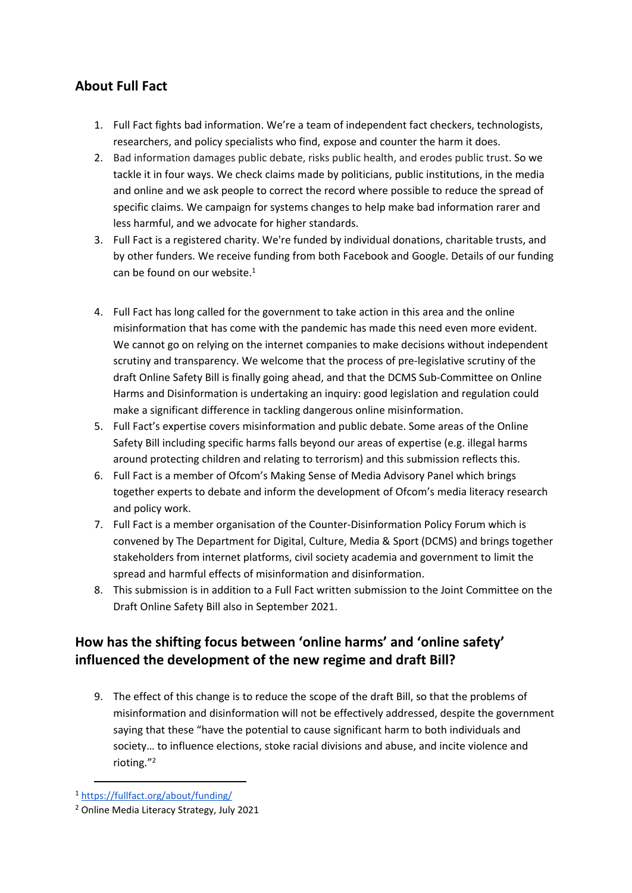### **About Full Fact**

- 1. Full Fact fights bad information. We're a team of independent fact checkers, technologists, researchers, and policy specialists who find, expose and counter the harm it does.
- 2. Bad information damages public debate, risks public health, and erodes public trust. So we tackle it in four ways. We check claims made by politicians, public institutions, in the media and online and we ask people to correct the record where possible to reduce the spread of specific claims. We campaign for systems changes to help make bad information rarer and less harmful, and we advocate for higher standards.
- 3. Full Fact is a registered charity. We're funded by individual donations, charitable trusts, and by other funders. We receive funding from both Facebook and Google. Details of our funding can be found on our website.<sup>1</sup>
- 4. Full Fact has long called for the government to take action in this area and the online misinformation that has come with the pandemic has made this need even more evident. We cannot go on relying on the internet companies to make decisions without independent scrutiny and transparency. We welcome that the process of pre-legislative scrutiny of the draft Online Safety Bill is finally going ahead, and that the DCMS Sub-Committee on Online Harms and Disinformation is undertaking an inquiry: good legislation and regulation could make a significant difference in tackling dangerous online misinformation.
- 5. Full Fact's expertise covers misinformation and public debate. Some areas of the Online Safety Bill including specific harms falls beyond our areas of expertise (e.g. illegal harms around protecting children and relating to terrorism) and this submission reflects this.
- 6. Full Fact is a member of Ofcom's Making Sense of Media Advisory Panel which brings together experts to debate and inform the development of Ofcom's media literacy research and policy work.
- 7. Full Fact is a member organisation of the Counter-Disinformation Policy Forum which is convened by The Department for Digital, Culture, Media & Sport (DCMS) and brings together stakeholders from internet platforms, civil society academia and government to limit the spread and harmful effects of misinformation and disinformation.
- 8. This submission is in addition to a Full Fact written submission to the Joint Committee on the Draft Online Safety Bill also in September 2021.

### **How has the shifting focus between 'online harms' and 'online safety' influenced the development of the new regime and draft Bill?**

9. The effect of this change is to reduce the scope of the draft Bill, so that the problems of misinformation and disinformation will not be effectively addressed, despite the government saying that these "have the potential to cause significant harm to both individuals and society… to influence elections, stoke racial divisions and abuse, and incite violence and rioting."<sup>2</sup>

<sup>1</sup> <https://fullfact.org/about/funding/>

<sup>2</sup> Online Media Literacy Strategy, July 2021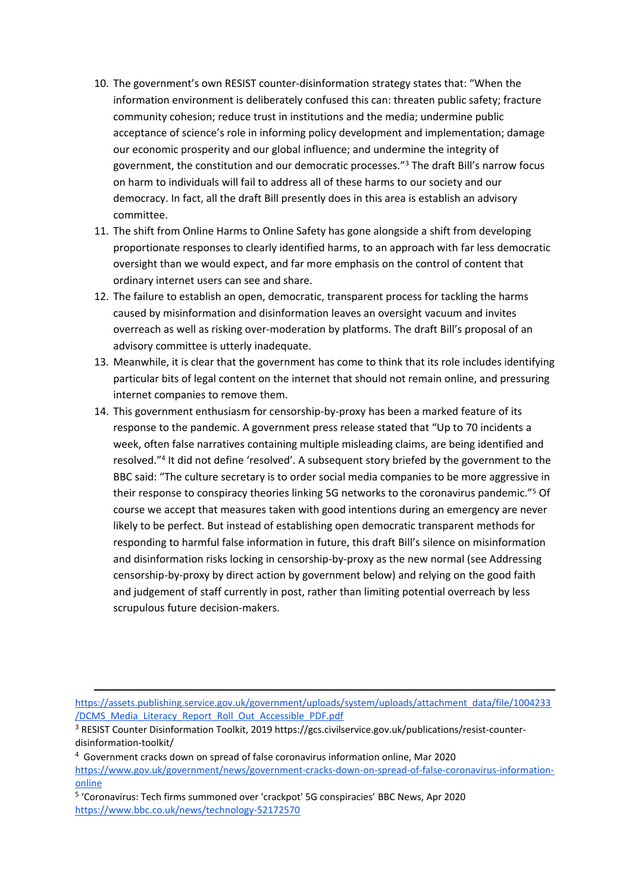- 10. The government's own RESIST counter-disinformation strategy states that: "When the information environment is deliberately confused this can: threaten public safety; fracture community cohesion; reduce trust in institutions and the media; undermine public acceptance of science's role in informing policy development and implementation; damage our economic prosperity and our global influence; and undermine the integrity of government, the constitution and our democratic processes."<sup>3</sup> The draft Bill's narrow focus on harm to individuals will fail to address all of these harms to our society and our democracy. In fact, all the draft Bill presently does in this area is establish an advisory committee.
- 11. The shift from Online Harms to Online Safety has gone alongside a shift from developing proportionate responses to clearly identified harms, to an approach with far less democratic oversight than we would expect, and far more emphasis on the control of content that ordinary internet users can see and share.
- 12. The failure to establish an open, democratic, transparent process for tackling the harms caused by misinformation and disinformation leaves an oversight vacuum and invites overreach as well as risking over-moderation by platforms. The draft Bill's proposal of an advisory committee is utterly inadequate.
- 13. Meanwhile, it is clear that the government has come to think that its role includes identifying particular bits of legal content on the internet that should not remain online, and pressuring internet companies to remove them.
- 14. This government enthusiasm for censorship-by-proxy has been a marked feature of its response to the pandemic. A government press release stated that "Up to 70 incidents a week, often false narratives containing multiple misleading claims, are being identified and resolved."<sup>4</sup> It did not define 'resolved'. A subsequent story briefed by the government to the BBC said: "The culture secretary is to order social media companies to be more aggressive in their response to conspiracy theories linking 5G networks to the coronavirus pandemic."<sup>5</sup> Of course we accept that measures taken with good intentions during an emergency are never likely to be perfect. But instead of establishing open democratic transparent methods for responding to harmful false information in future, this draft Bill's silence on misinformation and disinformation risks locking in censorship-by-proxy as the new normal (see Addressing censorship-by-proxy by direct action by government below) and relying on the good faith and judgement of staff currently in post, rather than limiting potential overreach by less scrupulous future decision-makers.

[https://assets.publishing.service.gov.uk/government/uploads/system/uploads/attachment\\_data/file/1004233](https://assets.publishing.service.gov.uk/government/uploads/system/uploads/attachment_data/file/1004233/DCMS_Media_Literacy_Report_Roll_Out_Accessible_PDF.pdf) [/DCMS\\_Media\\_Literacy\\_Report\\_Roll\\_Out\\_Accessible\\_PDF.pdf](https://assets.publishing.service.gov.uk/government/uploads/system/uploads/attachment_data/file/1004233/DCMS_Media_Literacy_Report_Roll_Out_Accessible_PDF.pdf)

<sup>&</sup>lt;sup>3</sup> RESIST Counter Disinformation Toolkit, 2019 [https://gcs.civilservice.gov.uk/publications/resist-counter](https://gcs.civilservice.gov.uk/publications/resist-counter-disinformation-toolkit/)[disinformation-toolkit/](https://gcs.civilservice.gov.uk/publications/resist-counter-disinformation-toolkit/) 

<sup>4</sup> Government cracks down on spread of false coronavirus information online, Mar 2020 [https://www.gov.uk/government/news/government-cracks-down-on-spread-of-false-coronavirus-information](https://www.gov.uk/government/news/government-cracks-down-on-spread-of-false-coronavirus-information-online)[online](https://www.gov.uk/government/news/government-cracks-down-on-spread-of-false-coronavirus-information-online)

<sup>&</sup>lt;sup>5</sup> 'Coronavirus: Tech firms summoned over 'crackpot' 5G conspiracies' BBC News, Apr 2020 <https://www.bbc.co.uk/news/technology-52172570>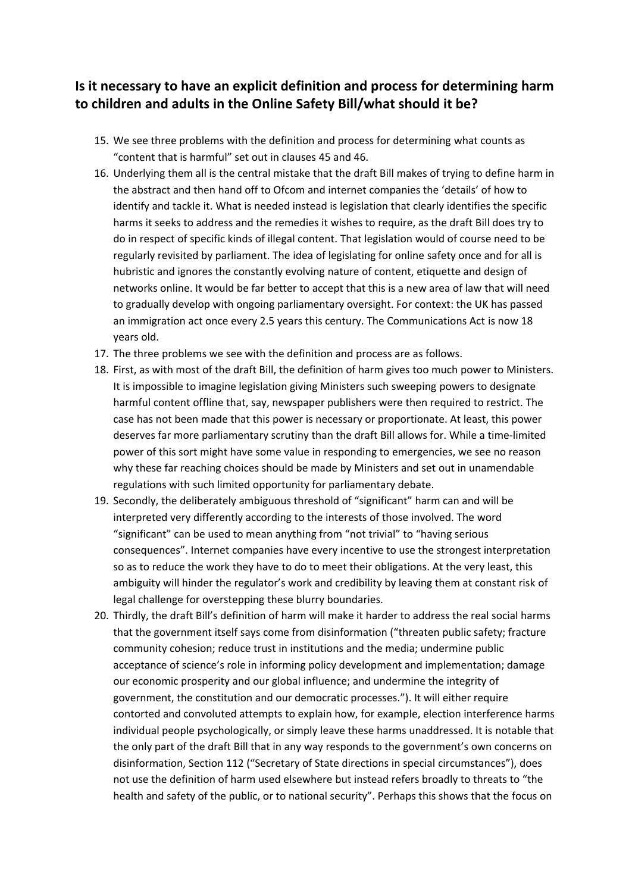### **Is it necessary to have an explicit definition and process for determining harm to children and adults in the Online Safety Bill/what should it be?**

- 15. We see three problems with the definition and process for determining what counts as "content that is harmful" set out in clauses 45 and 46.
- 16. Underlying them all is the central mistake that the draft Bill makes of trying to define harm in the abstract and then hand off to Ofcom and internet companies the 'details' of how to identify and tackle it. What is needed instead is legislation that clearly identifies the specific harms it seeks to address and the remedies it wishes to require, as the draft Bill does try to do in respect of specific kinds of illegal content. That legislation would of course need to be regularly revisited by parliament. The idea of legislating for online safety once and for all is hubristic and ignores the constantly evolving nature of content, etiquette and design of networks online. It would be far better to accept that this is a new area of law that will need to gradually develop with ongoing parliamentary oversight. For context: the UK has passed an immigration act once every 2.5 years this century. The Communications Act is now 18 years old.
- 17. The three problems we see with the definition and process are as follows.
- 18. First, as with most of the draft Bill, the definition of harm gives too much power to Ministers. It is impossible to imagine legislation giving Ministers such sweeping powers to designate harmful content offline that, say, newspaper publishers were then required to restrict. The case has not been made that this power is necessary or proportionate. At least, this power deserves far more parliamentary scrutiny than the draft Bill allows for. While a time-limited power of this sort might have some value in responding to emergencies, we see no reason why these far reaching choices should be made by Ministers and set out in unamendable regulations with such limited opportunity for parliamentary debate.
- 19. Secondly, the deliberately ambiguous threshold of "significant" harm can and will be interpreted very differently according to the interests of those involved. The word "significant" can be used to mean anything from "not trivial" to "having serious consequences". Internet companies have every incentive to use the strongest interpretation so as to reduce the work they have to do to meet their obligations. At the very least, this ambiguity will hinder the regulator's work and credibility by leaving them at constant risk of legal challenge for overstepping these blurry boundaries.
- 20. Thirdly, the draft Bill's definition of harm will make it harder to address the real social harms that the government itself says come from disinformation ("threaten public safety; fracture community cohesion; reduce trust in institutions and the media; undermine public acceptance of science's role in informing policy development and implementation; damage our economic prosperity and our global influence; and undermine the integrity of government, the constitution and our democratic processes."). It will either require contorted and convoluted attempts to explain how, for example, election interference harms individual people psychologically, or simply leave these harms unaddressed. It is notable that the only part of the draft Bill that in any way responds to the government's own concerns on disinformation, Section 112 ("Secretary of State directions in special circumstances"), does not use the definition of harm used elsewhere but instead refers broadly to threats to "the health and safety of the public, or to national security". Perhaps this shows that the focus on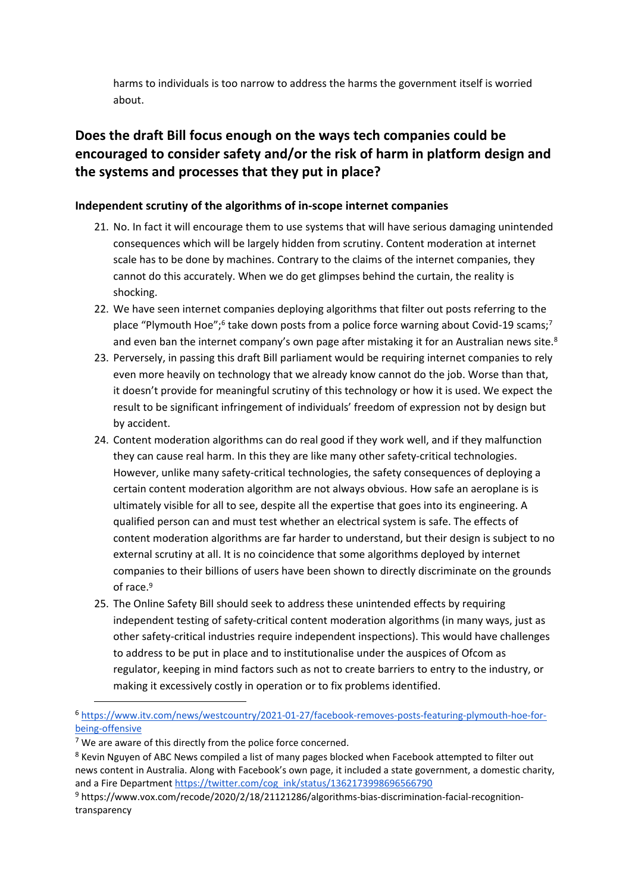harms to individuals is too narrow to address the harms the government itself is worried about.

### **Does the draft Bill focus enough on the ways tech companies could be encouraged to consider safety and/or the risk of harm in platform design and the systems and processes that they put in place?**

#### **Independent scrutiny of the algorithms of in-scope internet companies**

- 21. No. In fact it will encourage them to use systems that will have serious damaging unintended consequences which will be largely hidden from scrutiny. Content moderation at internet scale has to be done by machines. Contrary to the claims of the internet companies, they cannot do this accurately. When we do get glimpses behind the curtain, the reality is shocking.
- 22. We have seen internet companies deploying algorithms that filter out posts referring to the place "Plymouth Hoe";<sup>6</sup> take down posts from a police force warning about Covid-19 scams;<sup>7</sup> and even ban the internet company's own page after mistaking it for an Australian news site. $8$
- 23. Perversely, in passing this draft Bill parliament would be requiring internet companies to rely even more heavily on technology that we already know cannot do the job. Worse than that, it doesn't provide for meaningful scrutiny of this technology or how it is used. We expect the result to be significant infringement of individuals' freedom of expression not by design but by accident.
- 24. Content moderation algorithms can do real good if they work well, and if they malfunction they can cause real harm. In this they are like many other safety-critical technologies. However, unlike many safety-critical technologies, the safety consequences of deploying a certain content moderation algorithm are not always obvious. How safe an aeroplane is is ultimately visible for all to see, despite all the expertise that goes into its engineering. A qualified person can and must test whether an electrical system is safe. The effects of content moderation algorithms are far harder to understand, but their design is subject to no external scrutiny at all. It is no coincidence that some algorithms deployed by internet companies to their billions of users have been shown to directly discriminate on the grounds of race.<sup>9</sup>
- 25. The Online Safety Bill should seek to address these unintended effects by requiring independent testing of safety-critical content moderation algorithms (in many ways, just as other safety-critical industries require independent inspections). This would have challenges to address to be put in place and to institutionalise under the auspices of Ofcom as regulator, keeping in mind factors such as not to create barriers to entry to the industry, or making it excessively costly in operation or to fix problems identified.

<sup>6</sup> [https://www.itv.com/news/westcountry/2021-01-27/facebook-removes-posts-featuring-plymouth-hoe-for](https://www.itv.com/news/westcountry/2021-01-27/facebook-removes-posts-featuring-plymouth-hoe-for-being-offensive)[being-offensive](https://www.itv.com/news/westcountry/2021-01-27/facebook-removes-posts-featuring-plymouth-hoe-for-being-offensive)

 $7$  We are aware of this directly from the police force concerned.

<sup>8</sup> Kevin Nguyen of ABC News compiled a list of many pages blocked when Facebook attempted to filter out news content in Australia. Along with Facebook's own page, it included a state government, a domestic charity, and a Fire Department [https://twitter.com/cog\\_ink/status/1362173998696566790](https://twitter.com/cog_ink/status/1362173998696566790)

<sup>9</sup> https://www.vox.com/recode/2020/2/18/21121286/algorithms-bias-discrimination-facial-recognitiontransparency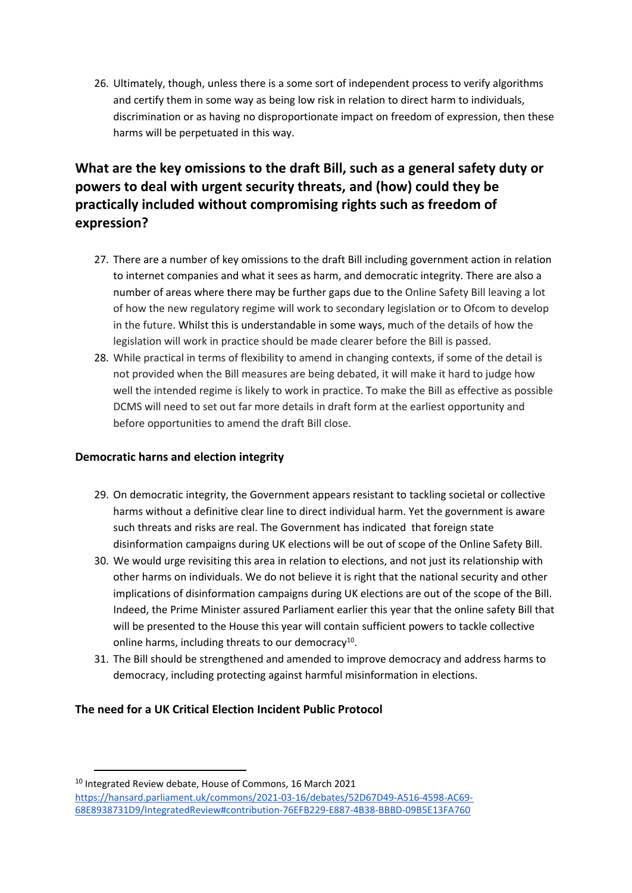26. Ultimately, though, unless there is a some sort of independent process to verify algorithms and certify them in some way as being low risk in relation to direct harm to individuals, discrimination or as having no disproportionate impact on freedom of expression, then these harms will be perpetuated in this way.

### **What are the key omissions to the draft Bill, such as a general safety duty or powers to deal with urgent security threats, and (how) could they be practically included without compromising rights such as freedom of expression?**

- 27. There are a number of key omissions to the draft Bill including government action in relation to internet companies and what it sees as harm, and democratic integrity. There are also a number of areas where there may be further gaps due to the Online Safety Bill leaving a lot of how the new regulatory regime will work to secondary legislation or to Ofcom to develop in the future. Whilst this is understandable in some ways, much of the details of how the legislation will work in practice should be made clearer before the Bill is passed.
- 28. While practical in terms of flexibility to amend in changing contexts, if some of the detail is not provided when the Bill measures are being debated, it will make it hard to judge how well the intended regime is likely to work in practice. To make the Bill as effective as possible DCMS will need to set out far more details in draft form at the earliest opportunity and before opportunities to amend the draft Bill close.

#### **Democratic harns and election integrity**

- 29. On democratic integrity, the Government appears resistant to tackling societal or collective harms without a definitive clear line to direct individual harm. Yet the government is aware such threats and risks are real. The Government has indicated that foreign state disinformation campaigns during UK elections will be out of scope of the Online Safety Bill.
- 30. We would urge revisiting this area in relation to elections, and not just its relationship with other harms on individuals. We do not believe it is right that the national security and other implications of disinformation campaigns during UK elections are out of the scope of the Bill. Indeed, the Prime Minister assured Parliament earlier this year that the online safety Bill that will be presented to the House this year will contain sufficient powers to tackle collective online harms, including threats to our democracy<sup>10</sup>.
- 31. The Bill should be strengthened and amended to improve democracy and address harms to democracy, including protecting against harmful misinformation in elections.

#### **The need for a UK Critical Election Incident Public Protocol**

<sup>10</sup> Integrated Review debate, House of Commons, 16 March 2021

[https://hansard.parliament.uk/commons/2021-03-16/debates/52D67D49-A516-4598-AC69-](https://hansard.parliament.uk/commons/2021-03-16/debates/52D67D49-A516-4598-AC69-68E8938731D9/IntegratedReview#contribution-76EFB229-E887-4B38-BBBD-09B5E13FA760) [68E8938731D9/IntegratedReview#contribution-76EFB229-E887-4B38-BBBD-09B5E13FA760](https://hansard.parliament.uk/commons/2021-03-16/debates/52D67D49-A516-4598-AC69-68E8938731D9/IntegratedReview#contribution-76EFB229-E887-4B38-BBBD-09B5E13FA760)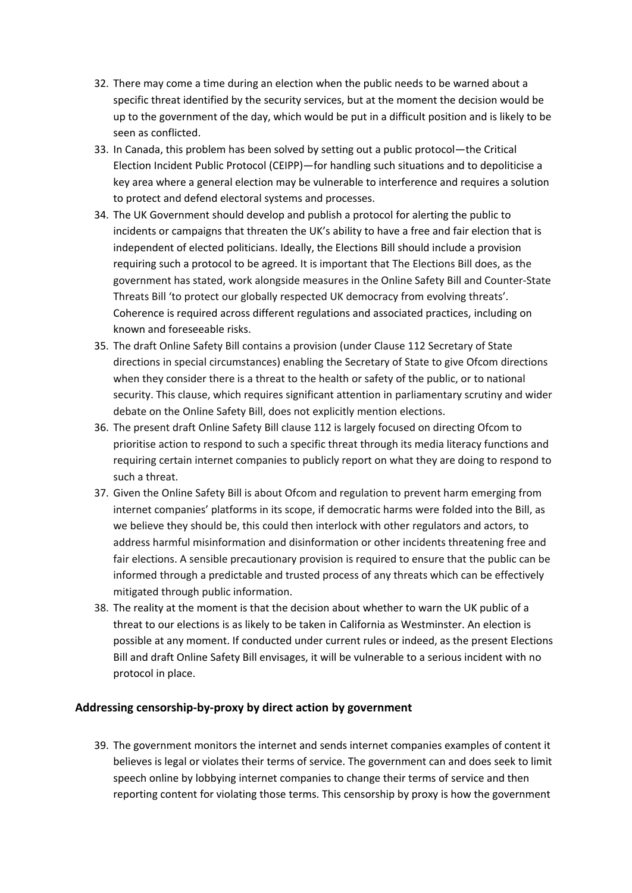- 32. There may come a time during an election when the public needs to be warned about a specific threat identified by the security services, but at the moment the decision would be up to the government of the day, which would be put in a difficult position and is likely to be seen as conflicted.
- 33. In Canada, this problem has been solved by setting out a public protocol—the Critical Election Incident Public Protocol (CEIPP)—for handling such situations and to depoliticise a key area where a general election may be vulnerable to interference and requires a solution to protect and defend electoral systems and processes.
- 34. The UK Government should develop and publish a protocol for alerting the public to incidents or campaigns that threaten the UK's ability to have a free and fair election that is independent of elected politicians. Ideally, the Elections Bill should include a provision requiring such a protocol to be agreed. It is important that The Elections Bill does, as the government has stated, work alongside measures in the Online Safety Bill and Counter-State Threats Bill 'to protect our globally respected UK democracy from evolving threats'. Coherence is required across different regulations and associated practices, including on known and foreseeable risks.
- 35. The draft Online Safety Bill contains a provision (under Clause 112 Secretary of State directions in special circumstances) enabling the Secretary of State to give Ofcom directions when they consider there is a threat to the health or safety of the public, or to national security. This clause, which requires significant attention in parliamentary scrutiny and wider debate on the Online Safety Bill, does not explicitly mention elections.
- 36. The present draft Online Safety Bill clause 112 is largely focused on directing Ofcom to prioritise action to respond to such a specific threat through its media literacy functions and requiring certain internet companies to publicly report on what they are doing to respond to such a threat.
- 37. Given the Online Safety Bill is about Ofcom and regulation to prevent harm emerging from internet companies' platforms in its scope, if democratic harms were folded into the Bill, as we believe they should be, this could then interlock with other regulators and actors, to address harmful misinformation and disinformation or other incidents threatening free and fair elections. A sensible precautionary provision is required to ensure that the public can be informed through a predictable and trusted process of any threats which can be effectively mitigated through public information.
- 38. The reality at the moment is that the decision about whether to warn the UK public of a threat to our elections is as likely to be taken in California as Westminster. An election is possible at any moment. If conducted under current rules or indeed, as the present Elections Bill and draft Online Safety Bill envisages, it will be vulnerable to a serious incident with no protocol in place.

#### **Addressing censorship-by-proxy by direct action by government**

39. The government monitors the internet and sends internet companies examples of content it believes is legal or violates their terms of service. The government can and does seek to limit speech online by lobbying internet companies to change their terms of service and then reporting content for violating those terms. This censorship by proxy is how the government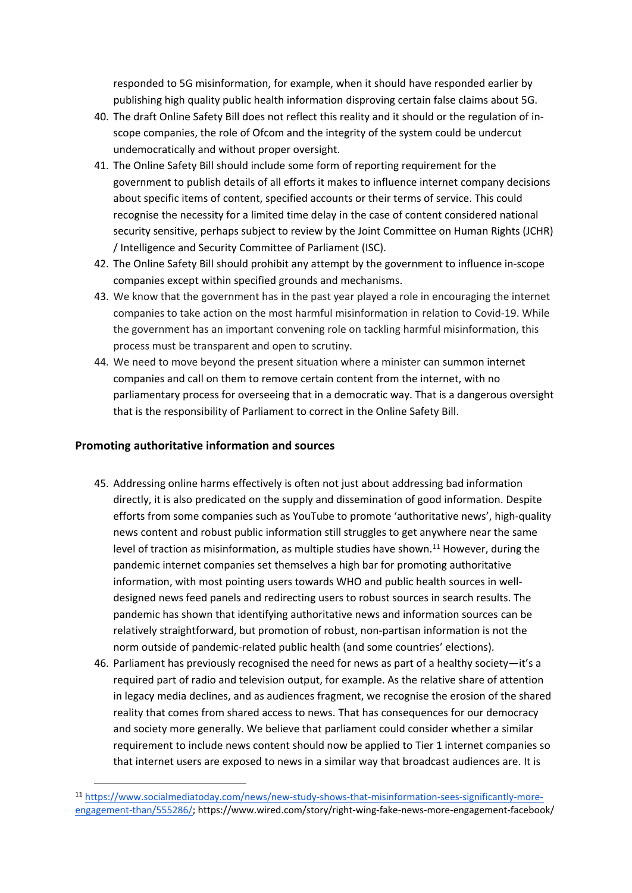responded to 5G misinformation, for example, when it should have responded earlier by publishing high quality public health information disproving certain false claims about 5G.

- 40. The draft Online Safety Bill does not reflect this reality and it should or the regulation of inscope companies, the role of Ofcom and the integrity of the system could be undercut undemocratically and without proper oversight.
- 41. The Online Safety Bill should include some form of reporting requirement for the government to publish details of all efforts it makes to influence internet company decisions about specific items of content, specified accounts or their terms of service. This could recognise the necessity for a limited time delay in the case of content considered national security sensitive, perhaps subject to review by the Joint Committee on Human Rights (JCHR) / Intelligence and Security Committee of Parliament (ISC).
- 42. The Online Safety Bill should prohibit any attempt by the government to influence in-scope companies except within specified grounds and mechanisms.
- 43. We know that the government has in the past year played a role in encouraging the internet companies to take action on the most harmful misinformation in relation to Covid-19. While the government has an important convening role on tackling harmful misinformation, this process must be transparent and open to scrutiny.
- 44. We need to move beyond the present situation where a minister can summon internet companies and call on them to remove certain content from the internet, with no parliamentary process for overseeing that in a democratic way. That is a dangerous oversight that is the responsibility of Parliament to correct in the Online Safety Bill.

#### **Promoting authoritative information and sources**

- 45. Addressing online harms effectively is often not just about addressing bad information directly, it is also predicated on the supply and dissemination of good information. Despite efforts from some companies such as YouTube to promote 'authoritative news', high-quality news content and robust public information still struggles to get anywhere near the same level of traction as misinformation, as multiple studies have shown.<sup>11</sup> However, during the pandemic internet companies set themselves a high bar for promoting authoritative information, with most pointing users towards WHO and public health sources in welldesigned news feed panels and redirecting users to robust sources in search results. The pandemic has shown that identifying authoritative news and information sources can be relatively straightforward, but promotion of robust, non-partisan information is not the norm outside of pandemic-related public health (and some countries' elections).
- 46. Parliament has previously recognised the need for news as part of a healthy society—it's a required part of radio and television output, for example. As the relative share of attention in legacy media declines, and as audiences fragment, we recognise the erosion of the shared reality that comes from shared access to news. That has consequences for our democracy and society more generally. We believe that parliament could consider whether a similar requirement to include news content should now be applied to Tier 1 internet companies so that internet users are exposed to news in a similar way that broadcast audiences are. It is

<sup>11</sup> [https://www.socialmediatoday.com/news/new-study-shows-that-misinformation-sees-significantly-more](https://www.socialmediatoday.com/news/new-study-shows-that-misinformation-sees-significantly-more-engagement-than/555286/)[engagement-than/555286/;](https://www.socialmediatoday.com/news/new-study-shows-that-misinformation-sees-significantly-more-engagement-than/555286/) https://www.wired.com/story/right-wing-fake-news-more-engagement-facebook/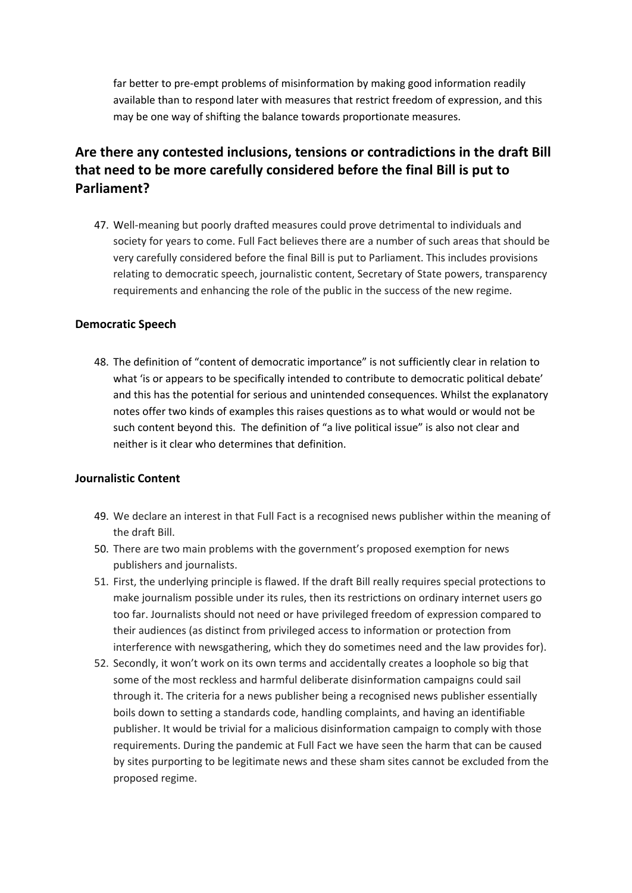far better to pre-empt problems of misinformation by making good information readily available than to respond later with measures that restrict freedom of expression, and this may be one way of shifting the balance towards proportionate measures.

### **Are there any contested inclusions, tensions or contradictions in the draft Bill that need to be more carefully considered before the final Bill is put to Parliament?**

47. Well-meaning but poorly drafted measures could prove detrimental to individuals and society for years to come. Full Fact believes there are a number of such areas that should be very carefully considered before the final Bill is put to Parliament. This includes provisions relating to democratic speech, journalistic content, Secretary of State powers, transparency requirements and enhancing the role of the public in the success of the new regime.

#### **Democratic Speech**

48. The definition of "content of democratic importance" is not sufficiently clear in relation to what 'is or appears to be specifically intended to contribute to democratic political debate' and this has the potential for serious and unintended consequences. Whilst the explanatory notes offer two kinds of examples this raises questions as to what would or would not be such content beyond this. The definition of "a live political issue" is also not clear and neither is it clear who determines that definition.

#### **Journalistic Content**

- 49. We declare an interest in that Full Fact is a recognised news publisher within the meaning of the draft Bill.
- 50. There are two main problems with the government's proposed exemption for news publishers and journalists.
- 51. First, the underlying principle is flawed. If the draft Bill really requires special protections to make journalism possible under its rules, then its restrictions on ordinary internet users go too far. Journalists should not need or have privileged freedom of expression compared to their audiences (as distinct from privileged access to information or protection from interference with newsgathering, which they do sometimes need and the law provides for).
- 52. Secondly, it won't work on its own terms and accidentally creates a loophole so big that some of the most reckless and harmful deliberate disinformation campaigns could sail through it. The criteria for a news publisher being a recognised news publisher essentially boils down to setting a standards code, handling complaints, and having an identifiable publisher. It would be trivial for a malicious disinformation campaign to comply with those requirements. During the pandemic at Full Fact we have seen the harm that can be caused by sites purporting to be legitimate news and these sham sites cannot be excluded from the proposed regime.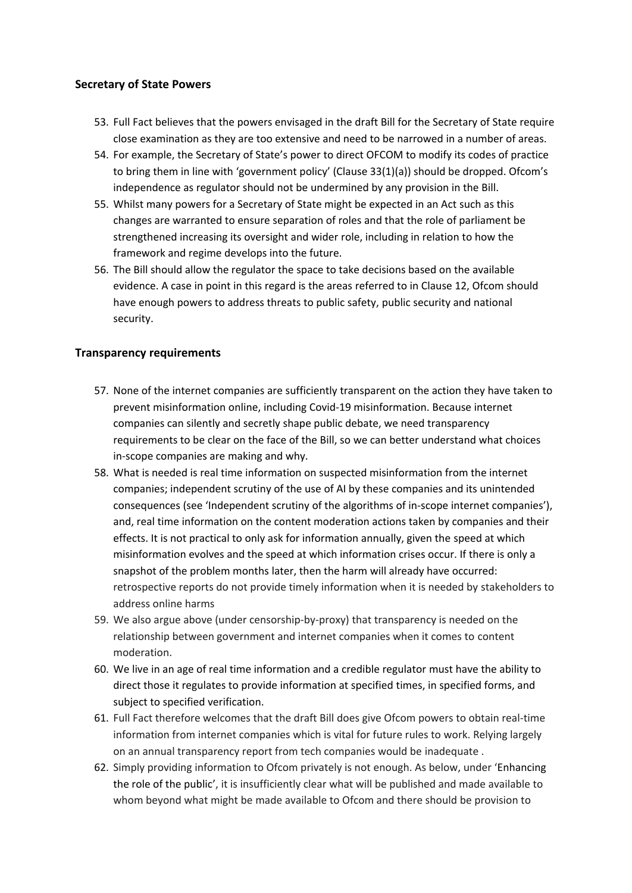#### **Secretary of State Powers**

- 53. Full Fact believes that the powers envisaged in the draft Bill for the Secretary of State require close examination as they are too extensive and need to be narrowed in a number of areas.
- 54. For example, the Secretary of State's power to direct OFCOM to modify its codes of practice to bring them in line with 'government policy' (Clause 33(1)(a)) should be dropped. Ofcom's independence as regulator should not be undermined by any provision in the Bill.
- 55. Whilst many powers for a Secretary of State might be expected in an Act such as this changes are warranted to ensure separation of roles and that the role of parliament be strengthened increasing its oversight and wider role, including in relation to how the framework and regime develops into the future.
- 56. The Bill should allow the regulator the space to take decisions based on the available evidence. A case in point in this regard is the areas referred to in Clause 12, Ofcom should have enough powers to address threats to public safety, public security and national security.

#### **Transparency requirements**

- 57. None of the internet companies are sufficiently transparent on the action they have taken to prevent misinformation online, including Covid-19 misinformation. Because internet companies can silently and secretly shape public debate, we need transparency requirements to be clear on the face of the Bill, so we can better understand what choices in-scope companies are making and why.
- 58. What is needed is real time information on suspected misinformation from the internet companies; independent scrutiny of the use of AI by these companies and its unintended consequences (see 'Independent scrutiny of the algorithms of in-scope internet companies'), and, real time information on the content moderation actions taken by companies and their effects. It is not practical to only ask for information annually, given the speed at which misinformation evolves and the speed at which information crises occur. If there is only a snapshot of the problem months later, then the harm will already have occurred: retrospective reports do not provide timely information when it is needed by stakeholders to address online harms
- 59. We also argue above (under censorship-by-proxy) that transparency is needed on the relationship between government and internet companies when it comes to content moderation.
- 60. We live in an age of real time information and a credible regulator must have the ability to direct those it regulates to provide information at specified times, in specified forms, and subject to specified verification.
- 61. Full Fact therefore welcomes that the draft Bill does give Ofcom powers to obtain real-time information from internet companies which is vital for future rules to work. Relying largely on an annual transparency report from tech companies would be inadequate .
- 62. Simply providing information to Ofcom privately is not enough. As below, under 'Enhancing the role of the public', it is insufficiently clear what will be published and made available to whom beyond what might be made available to Ofcom and there should be provision to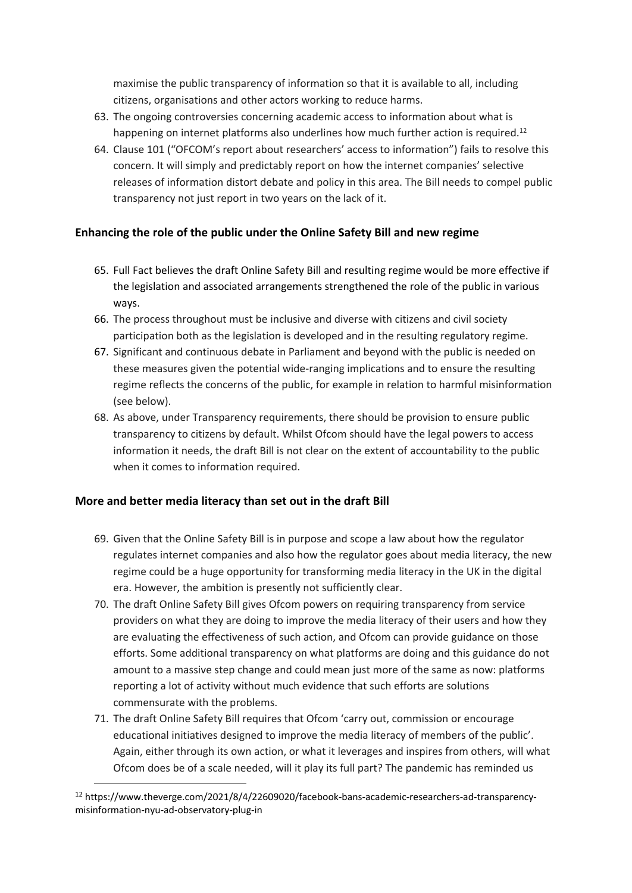maximise the public transparency of information so that it is available to all, including citizens, organisations and other actors working to reduce harms.

- 63. The ongoing controversies concerning academic access to information about what is happening on internet platforms also underlines how much further action is required.<sup>12</sup>
- 64. Clause 101 ("OFCOM's report about researchers' access to information") fails to resolve this concern. It will simply and predictably report on how the internet companies' selective releases of information distort debate and policy in this area. The Bill needs to compel public transparency not just report in two years on the lack of it.

#### **Enhancing the role of the public under the Online Safety Bill and new regime**

- 65. Full Fact believes the draft Online Safety Bill and resulting regime would be more effective if the legislation and associated arrangements strengthened the role of the public in various ways.
- 66. The process throughout must be inclusive and diverse with citizens and civil society participation both as the legislation is developed and in the resulting regulatory regime.
- 67. Significant and continuous debate in Parliament and beyond with the public is needed on these measures given the potential wide-ranging implications and to ensure the resulting regime reflects the concerns of the public, for example in relation to harmful misinformation (see below).
- 68. As above, under Transparency requirements, there should be provision to ensure public transparency to citizens by default. Whilst Ofcom should have the legal powers to access information it needs, the draft Bill is not clear on the extent of accountability to the public when it comes to information required.

#### **More and better media literacy than set out in the draft Bill**

- 69. Given that the Online Safety Bill is in purpose and scope a law about how the regulator regulates internet companies and also how the regulator goes about media literacy, the new regime could be a huge opportunity for transforming media literacy in the UK in the digital era. However, the ambition is presently not sufficiently clear.
- 70. The draft Online Safety Bill gives Ofcom powers on requiring transparency from service providers on what they are doing to improve the media literacy of their users and how they are evaluating the effectiveness of such action, and Ofcom can provide guidance on those efforts. Some additional transparency on what platforms are doing and this guidance do not amount to a massive step change and could mean just more of the same as now: platforms reporting a lot of activity without much evidence that such efforts are solutions commensurate with the problems.
- 71. The draft Online Safety Bill requires that Ofcom 'carry out, commission or encourage educational initiatives designed to improve the media literacy of members of the public'. Again, either through its own action, or what it leverages and inspires from others, will what Ofcom does be of a scale needed, will it play its full part? The pandemic has reminded us

<sup>12</sup> https://www.theverge.com/2021/8/4/22609020/facebook-bans-academic-researchers-ad-transparencymisinformation-nyu-ad-observatory-plug-in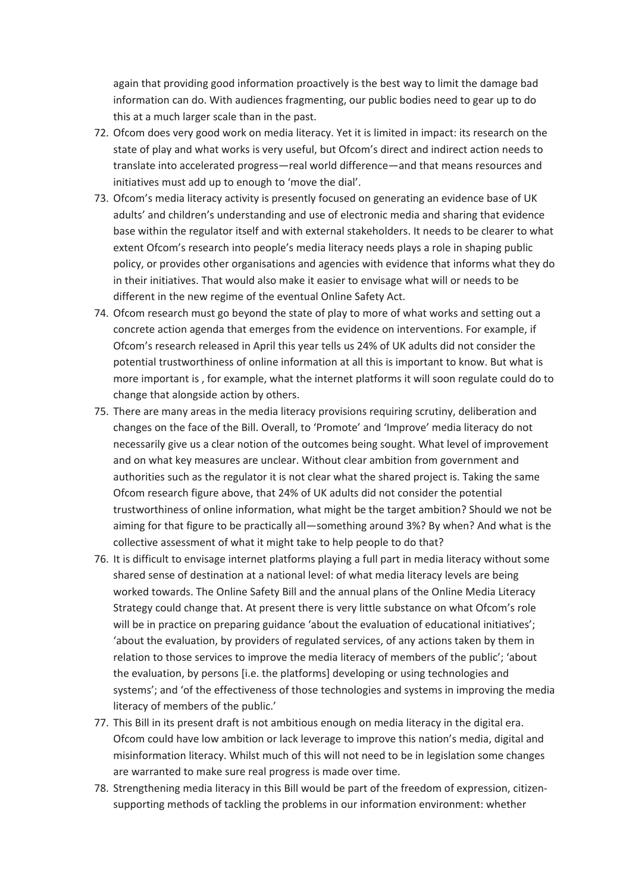again that providing good information proactively is the best way to limit the damage bad information can do. With audiences fragmenting, our public bodies need to gear up to do this at a much larger scale than in the past.

- 72. Ofcom does very good work on media literacy. Yet it is limited in impact: its research on the state of play and what works is very useful, but Ofcom's direct and indirect action needs to translate into accelerated progress—real world difference—and that means resources and initiatives must add up to enough to 'move the dial'.
- 73. Ofcom's media literacy activity is presently focused on generating an evidence base of UK adults' and children's understanding and use of electronic media and sharing that evidence base within the regulator itself and with external stakeholders. It needs to be clearer to what extent Ofcom's research into people's media literacy needs plays a role in shaping public policy, or provides other organisations and agencies with evidence that informs what they do in their initiatives. That would also make it easier to envisage what will or needs to be different in the new regime of the eventual Online Safety Act.
- 74. Ofcom research must go beyond the state of play to more of what works and setting out a concrete action agenda that emerges from the evidence on interventions. For example, if Ofcom's research released in April this year tells us 24% of UK adults did not consider the potential trustworthiness of online information at all this is important to know. But what is more important is , for example, what the internet platforms it will soon regulate could do to change that alongside action by others.
- 75. There are many areas in the media literacy provisions requiring scrutiny, deliberation and changes on the face of the Bill. Overall, to 'Promote' and 'Improve' media literacy do not necessarily give us a clear notion of the outcomes being sought. What level of improvement and on what key measures are unclear. Without clear ambition from government and authorities such as the regulator it is not clear what the shared project is. Taking the same Ofcom research figure above, that 24% of UK adults did not consider the potential trustworthiness of online information, what might be the target ambition? Should we not be aiming for that figure to be practically all—something around 3%? By when? And what is the collective assessment of what it might take to help people to do that?
- 76. It is difficult to envisage internet platforms playing a full part in media literacy without some shared sense of destination at a national level: of what media literacy levels are being worked towards. The Online Safety Bill and the annual plans of the Online Media Literacy Strategy could change that. At present there is very little substance on what Ofcom's role will be in practice on preparing guidance 'about the evaluation of educational initiatives'; 'about the evaluation, by providers of regulated services, of any actions taken by them in relation to those services to improve the media literacy of members of the public'; 'about the evaluation, by persons [i.e. the platforms] developing or using technologies and systems'; and 'of the effectiveness of those technologies and systems in improving the media literacy of members of the public.'
- 77. This Bill in its present draft is not ambitious enough on media literacy in the digital era. Ofcom could have low ambition or lack leverage to improve this nation's media, digital and misinformation literacy. Whilst much of this will not need to be in legislation some changes are warranted to make sure real progress is made over time.
- 78. Strengthening media literacy in this Bill would be part of the freedom of expression, citizensupporting methods of tackling the problems in our information environment: whether